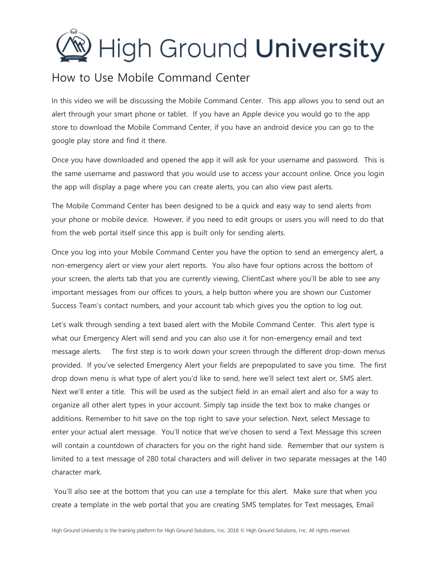## **High Ground University**

## How to Use Mobile Command Center

In this video we will be discussing the Mobile Command Center. This app allows you to send out an alert through your smart phone or tablet. If you have an Apple device you would go to the app store to download the Mobile Command Center, if you have an android device you can go to the google play store and find it there.

Once you have downloaded and opened the app it will ask for your username and password. This is the same username and password that you would use to access your account online. Once you login the app will display a page where you can create alerts, you can also view past alerts.

The Mobile Command Center has been designed to be a quick and easy way to send alerts from your phone or mobile device. However, if you need to edit groups or users you will need to do that from the web portal itself since this app is built only for sending alerts.

Once you log into your Mobile Command Center you have the option to send an emergency alert, a non-emergency alert or view your alert reports. You also have four options across the bottom of your screen, the alerts tab that you are currently viewing, ClientCast where you'll be able to see any important messages from our offices to yours, a help button where you are shown our Customer Success Team's contact numbers, and your account tab which gives you the option to log out.

Let's walk through sending a text based alert with the Mobile Command Center. This alert type is what our Emergency Alert will send and you can also use it for non-emergency email and text message alerts. The first step is to work down your screen through the different drop-down menus provided. If you've selected Emergency Alert your fields are prepopulated to save you time. The first drop down menu is what type of alert you'd like to send, here we'll select text alert or, SMS alert. Next we'll enter a title. This will be used as the subject field in an email alert and also for a way to organize all other alert types in your account. Simply tap inside the text box to make changes or additions. Remember to hit save on the top right to save your selection. Next, select Message to enter your actual alert message. You'll notice that we've chosen to send a Text Message this screen will contain a countdown of characters for you on the right hand side. Remember that our system is limited to a text message of 280 total characters and will deliver in two separate messages at the 140 character mark.

You'll also see at the bottom that you can use a template for this alert. Make sure that when you create a template in the web portal that you are creating SMS templates for Text messages, Email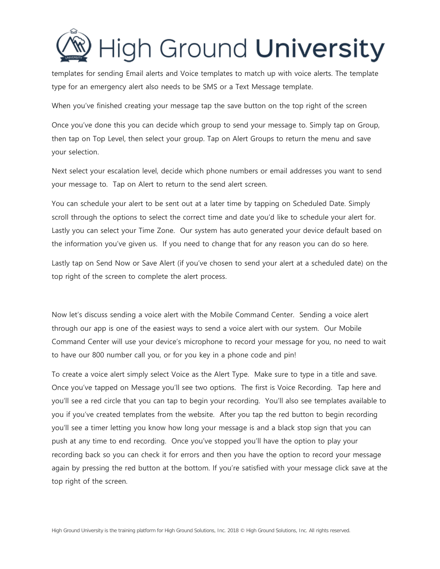

templates for sending Email alerts and Voice templates to match up with voice alerts. The template type for an emergency alert also needs to be SMS or a Text Message template.

When you've finished creating your message tap the save button on the top right of the screen

Once you've done this you can decide which group to send your message to. Simply tap on Group, then tap on Top Level, then select your group. Tap on Alert Groups to return the menu and save your selection.

Next select your escalation level, decide which phone numbers or email addresses you want to send your message to. Tap on Alert to return to the send alert screen.

You can schedule your alert to be sent out at a later time by tapping on Scheduled Date. Simply scroll through the options to select the correct time and date you'd like to schedule your alert for. Lastly you can select your Time Zone. Our system has auto generated your device default based on the information you've given us. If you need to change that for any reason you can do so here.

Lastly tap on Send Now or Save Alert (if you've chosen to send your alert at a scheduled date) on the top right of the screen to complete the alert process.

Now let's discuss sending a voice alert with the Mobile Command Center. Sending a voice alert through our app is one of the easiest ways to send a voice alert with our system. Our Mobile Command Center will use your device's microphone to record your message for you, no need to wait to have our 800 number call you, or for you key in a phone code and pin!

To create a voice alert simply select Voice as the Alert Type. Make sure to type in a title and save. Once you've tapped on Message you'll see two options. The first is Voice Recording. Tap here and you'll see a red circle that you can tap to begin your recording. You'll also see templates available to you if you've created templates from the website. After you tap the red button to begin recording you'll see a timer letting you know how long your message is and a black stop sign that you can push at any time to end recording. Once you've stopped you'll have the option to play your recording back so you can check it for errors and then you have the option to record your message again by pressing the red button at the bottom. If you're satisfied with your message click save at the top right of the screen.